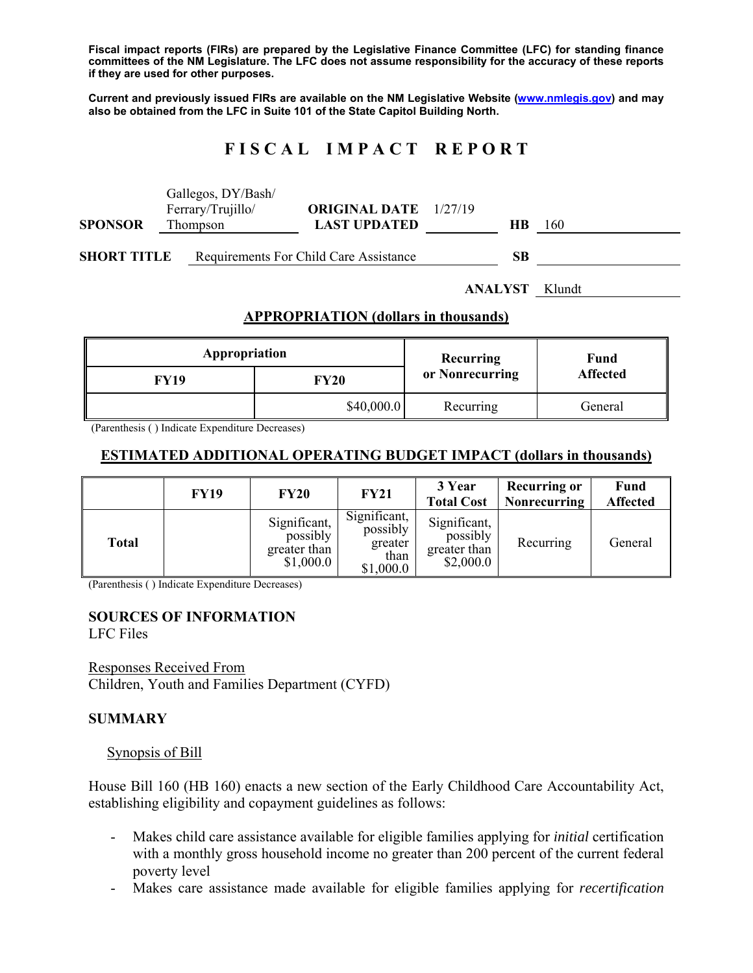**Fiscal impact reports (FIRs) are prepared by the Legislative Finance Committee (LFC) for standing finance committees of the NM Legislature. The LFC does not assume responsibility for the accuracy of these reports if they are used for other purposes.** 

**Current and previously issued FIRs are available on the NM Legislative Website (www.nmlegis.gov) and may also be obtained from the LFC in Suite 101 of the State Capitol Building North.** 

# **F I S C A L I M P A C T R E P O R T**

|                                             | Gallegos, DY/Bash/ |                      |                 |                 |  |  |  |  |  |
|---------------------------------------------|--------------------|----------------------|-----------------|-----------------|--|--|--|--|--|
|                                             | Ferrary/Trujillo/  | <b>ORIGINAL DATE</b> | 1/27/19         |                 |  |  |  |  |  |
| <b>SPONSOR</b><br>Thompson                  |                    | <b>LAST UPDATED</b>  | <b>HB</b>       | - 160           |  |  |  |  |  |
| <b>SHORT TITLE</b>                          |                    |                      |                 |                 |  |  |  |  |  |
|                                             | Klundt             |                      |                 |                 |  |  |  |  |  |
| <b>APPROPRIATION (dollars in thousands)</b> |                    |                      |                 |                 |  |  |  |  |  |
| Appropriation                               |                    |                      | Recurring       | Fund            |  |  |  |  |  |
| <b>FY19</b>                                 |                    | <b>FY20</b>          | or Nonrecurring | <b>Affected</b> |  |  |  |  |  |
| \$40,000.0                                  |                    | Recurring            | General         |                 |  |  |  |  |  |

(Parenthesis ( ) Indicate Expenditure Decreases)

## **ESTIMATED ADDITIONAL OPERATING BUDGET IMPACT (dollars in thousands)**

|       | <b>FY19</b> | <b>FY20</b>                                           | <b>FY21</b>                                              | 3 Year<br><b>Total Cost</b>                           | <b>Recurring or</b><br><b>Nonrecurring</b> | <b>Fund</b><br><b>Affected</b> |
|-------|-------------|-------------------------------------------------------|----------------------------------------------------------|-------------------------------------------------------|--------------------------------------------|--------------------------------|
| Total |             | Significant,<br>possibly<br>greater than<br>\$1,000.0 | Significant,<br>possibly<br>greater<br>than<br>\$1,000.0 | Significant,<br>possibly<br>greater than<br>\$2,000.0 | Recurring                                  | General                        |

(Parenthesis ( ) Indicate Expenditure Decreases)

# **SOURCES OF INFORMATION**

LFC Files

Responses Received From Children, Youth and Families Department (CYFD)

#### **SUMMARY**

#### Synopsis of Bill

House Bill 160 (HB 160) enacts a new section of the Early Childhood Care Accountability Act, establishing eligibility and copayment guidelines as follows:

- Makes child care assistance available for eligible families applying for *initial* certification with a monthly gross household income no greater than 200 percent of the current federal poverty level
- Makes care assistance made available for eligible families applying for *recertification*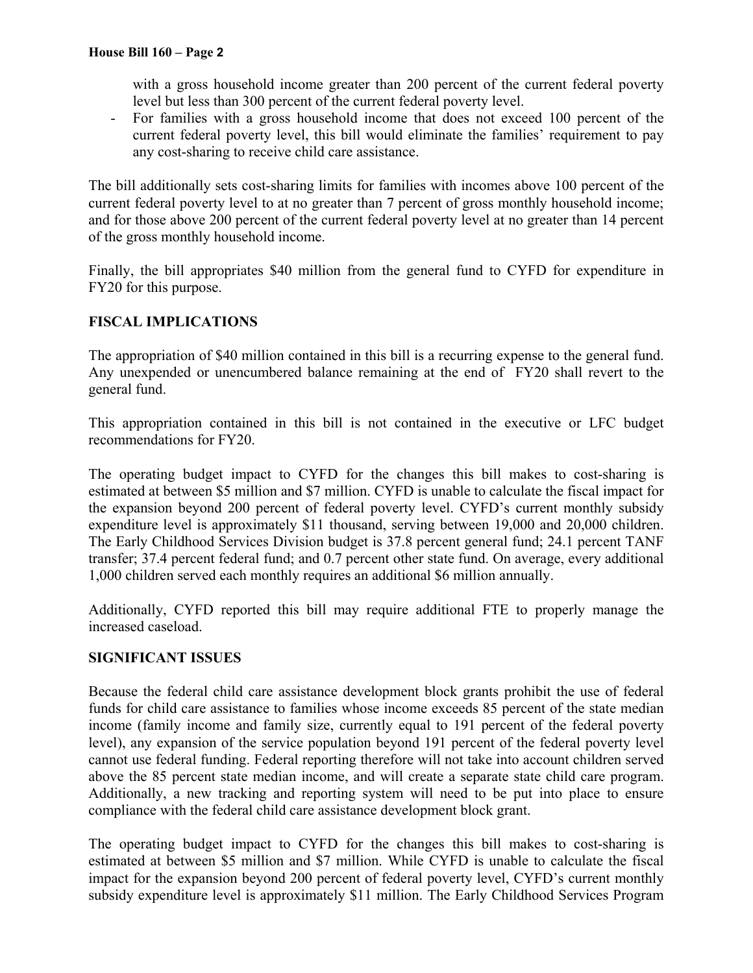with a gross household income greater than 200 percent of the current federal poverty level but less than 300 percent of the current federal poverty level.

- For families with a gross household income that does not exceed 100 percent of the current federal poverty level, this bill would eliminate the families' requirement to pay any cost-sharing to receive child care assistance.

The bill additionally sets cost-sharing limits for families with incomes above 100 percent of the current federal poverty level to at no greater than 7 percent of gross monthly household income; and for those above 200 percent of the current federal poverty level at no greater than 14 percent of the gross monthly household income.

Finally, the bill appropriates \$40 million from the general fund to CYFD for expenditure in FY20 for this purpose.

## **FISCAL IMPLICATIONS**

The appropriation of \$40 million contained in this bill is a recurring expense to the general fund. Any unexpended or unencumbered balance remaining at the end of FY20 shall revert to the general fund.

This appropriation contained in this bill is not contained in the executive or LFC budget recommendations for FY20.

The operating budget impact to CYFD for the changes this bill makes to cost-sharing is estimated at between \$5 million and \$7 million. CYFD is unable to calculate the fiscal impact for the expansion beyond 200 percent of federal poverty level. CYFD's current monthly subsidy expenditure level is approximately \$11 thousand, serving between 19,000 and 20,000 children. The Early Childhood Services Division budget is 37.8 percent general fund; 24.1 percent TANF transfer; 37.4 percent federal fund; and 0.7 percent other state fund. On average, every additional 1,000 children served each monthly requires an additional \$6 million annually.

Additionally, CYFD reported this bill may require additional FTE to properly manage the increased caseload.

## **SIGNIFICANT ISSUES**

Because the federal child care assistance development block grants prohibit the use of federal funds for child care assistance to families whose income exceeds 85 percent of the state median income (family income and family size, currently equal to 191 percent of the federal poverty level), any expansion of the service population beyond 191 percent of the federal poverty level cannot use federal funding. Federal reporting therefore will not take into account children served above the 85 percent state median income, and will create a separate state child care program. Additionally, a new tracking and reporting system will need to be put into place to ensure compliance with the federal child care assistance development block grant.

The operating budget impact to CYFD for the changes this bill makes to cost-sharing is estimated at between \$5 million and \$7 million. While CYFD is unable to calculate the fiscal impact for the expansion beyond 200 percent of federal poverty level, CYFD's current monthly subsidy expenditure level is approximately \$11 million. The Early Childhood Services Program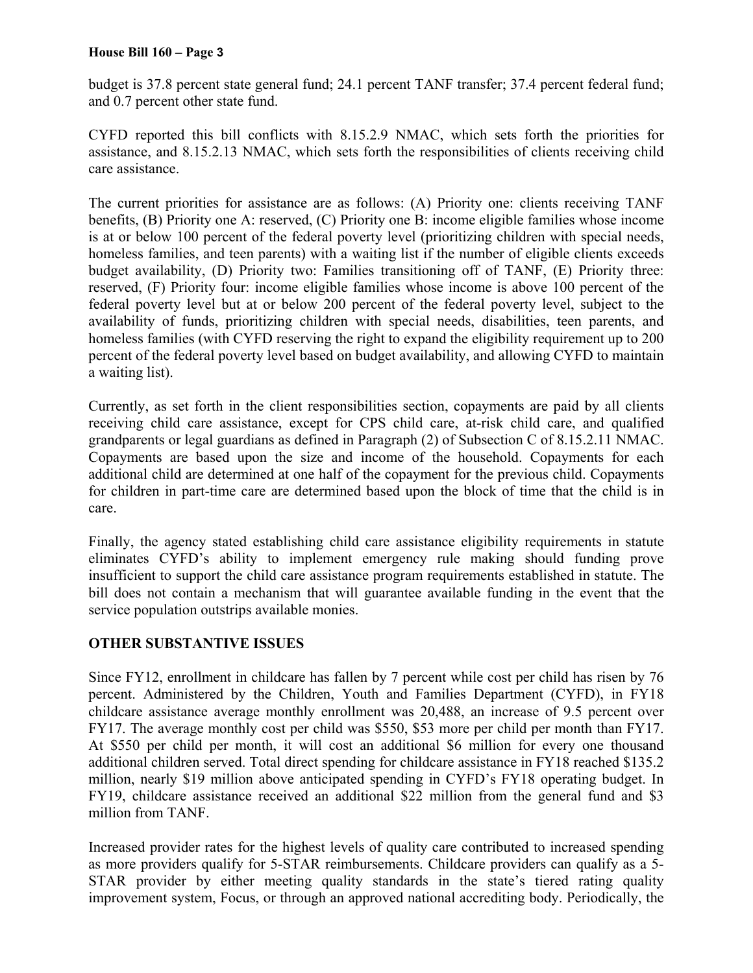### **House Bill 160 – Page 3**

budget is 37.8 percent state general fund; 24.1 percent TANF transfer; 37.4 percent federal fund; and 0.7 percent other state fund.

CYFD reported this bill conflicts with 8.15.2.9 NMAC, which sets forth the priorities for assistance, and 8.15.2.13 NMAC, which sets forth the responsibilities of clients receiving child care assistance.

The current priorities for assistance are as follows: (A) Priority one: clients receiving TANF benefits, (B) Priority one A: reserved, (C) Priority one B: income eligible families whose income is at or below 100 percent of the federal poverty level (prioritizing children with special needs, homeless families, and teen parents) with a waiting list if the number of eligible clients exceeds budget availability, (D) Priority two: Families transitioning off of TANF, (E) Priority three: reserved, (F) Priority four: income eligible families whose income is above 100 percent of the federal poverty level but at or below 200 percent of the federal poverty level, subject to the availability of funds, prioritizing children with special needs, disabilities, teen parents, and homeless families (with CYFD reserving the right to expand the eligibility requirement up to 200 percent of the federal poverty level based on budget availability, and allowing CYFD to maintain a waiting list).

Currently, as set forth in the client responsibilities section, copayments are paid by all clients receiving child care assistance, except for CPS child care, at-risk child care, and qualified grandparents or legal guardians as defined in Paragraph (2) of Subsection C of 8.15.2.11 NMAC. Copayments are based upon the size and income of the household. Copayments for each additional child are determined at one half of the copayment for the previous child. Copayments for children in part-time care are determined based upon the block of time that the child is in care.

Finally, the agency stated establishing child care assistance eligibility requirements in statute eliminates CYFD's ability to implement emergency rule making should funding prove insufficient to support the child care assistance program requirements established in statute. The bill does not contain a mechanism that will guarantee available funding in the event that the service population outstrips available monies.

## **OTHER SUBSTANTIVE ISSUES**

Since FY12, enrollment in childcare has fallen by 7 percent while cost per child has risen by 76 percent. Administered by the Children, Youth and Families Department (CYFD), in FY18 childcare assistance average monthly enrollment was 20,488, an increase of 9.5 percent over FY17. The average monthly cost per child was \$550, \$53 more per child per month than FY17. At \$550 per child per month, it will cost an additional \$6 million for every one thousand additional children served. Total direct spending for childcare assistance in FY18 reached \$135.2 million, nearly \$19 million above anticipated spending in CYFD's FY18 operating budget. In FY19, childcare assistance received an additional \$22 million from the general fund and \$3 million from TANF.

Increased provider rates for the highest levels of quality care contributed to increased spending as more providers qualify for 5-STAR reimbursements. Childcare providers can qualify as a 5- STAR provider by either meeting quality standards in the state's tiered rating quality improvement system, Focus, or through an approved national accrediting body. Periodically, the